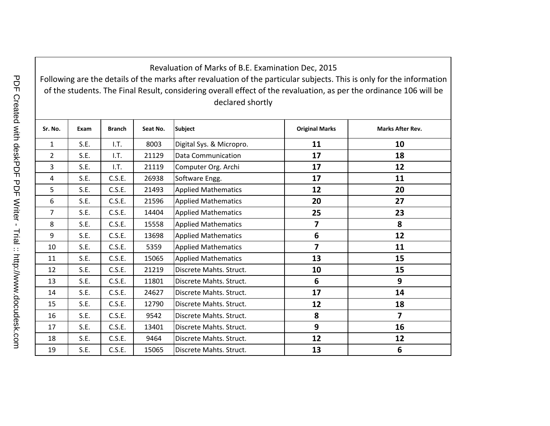Following are the details of the marks after revaluation of the particular subjects. This is only for the information of the students. The Final Result, considering overall effect of the revaluation, as per the ordinance 106 will be declared shortly

| Sr. No.        | Exam | <b>Branch</b> | Seat No. | <b>Subject</b>             | <b>Original Marks</b>   | <b>Marks After Rev.</b> |
|----------------|------|---------------|----------|----------------------------|-------------------------|-------------------------|
| $\mathbf{1}$   | S.E. | 1.7.          | 8003     | Digital Sys. & Micropro.   | 11                      | 10                      |
| $\overline{2}$ | S.E. | I.T.          | 21129    | <b>Data Communication</b>  | 17                      | 18                      |
| 3              | S.E. | 1.7.          | 21119    | Computer Org. Archi        | 17                      | 12                      |
| 4              | S.E. | C.S.E.        | 26938    | Software Engg.             | 17                      | 11                      |
| 5              | S.E. | C.S.E.        | 21493    | <b>Applied Mathematics</b> | 12                      | 20                      |
| 6              | S.E. | C.S.E.        | 21596    | <b>Applied Mathematics</b> | 20                      | 27                      |
| 7              | S.E. | C.S.E.        | 14404    | <b>Applied Mathematics</b> | 25                      | 23                      |
| 8              | S.E. | C.S.E.        | 15558    | <b>Applied Mathematics</b> | $\overline{\mathbf{z}}$ | 8                       |
| 9              | S.E. | C.S.E.        | 13698    | <b>Applied Mathematics</b> | 6                       | 12                      |
| 10             | S.E. | C.S.E.        | 5359     | <b>Applied Mathematics</b> | $\overline{7}$          | 11                      |
| 11             | S.E. | C.S.E.        | 15065    | <b>Applied Mathematics</b> | 13                      | 15                      |
| 12             | S.E. | C.S.E.        | 21219    | Discrete Mahts. Struct.    | 10                      | 15                      |
| 13             | S.E. | C.S.E.        | 11801    | Discrete Mahts. Struct.    | $6\phantom{1}6$         | 9                       |
| 14             | S.E. | C.S.E.        | 24627    | Discrete Mahts. Struct.    | 17                      | 14                      |
| 15             | S.E. | C.S.E.        | 12790    | Discrete Mahts, Struct.    | 12                      | 18                      |
| 16             | S.E. | C.S.E.        | 9542     | Discrete Mahts. Struct.    | 8                       | $\overline{\mathbf{z}}$ |
| 17             | S.E. | C.S.E.        | 13401    | Discrete Mahts. Struct.    | 9                       | 16                      |
| 18             | S.E. | C.S.E.        | 9464     | Discrete Mahts. Struct.    | 12                      | 12                      |
| 19             | S.E. | C.S.E.        | 15065    | Discrete Mahts. Struct.    | 13                      | 6                       |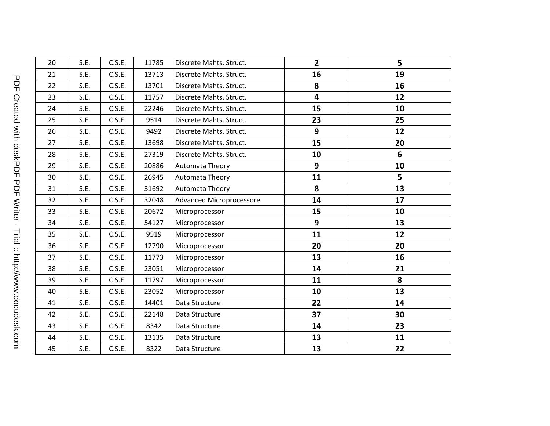| 20 | S.E. | C.S.E. | 11785 | Discrete Mahts. Struct.  | $\overline{2}$ | 5  |
|----|------|--------|-------|--------------------------|----------------|----|
|    |      |        |       |                          |                |    |
| 21 | S.E. | C.S.E. | 13713 | Discrete Mahts. Struct.  | 16             | 19 |
| 22 | S.E. | C.S.E. | 13701 | Discrete Mahts. Struct.  | 8              | 16 |
| 23 | S.E. | C.S.E. | 11757 | Discrete Mahts. Struct.  | 4              | 12 |
| 24 | S.E. | C.S.E. | 22246 | Discrete Mahts. Struct.  | 15             | 10 |
| 25 | S.E. | C.S.E. | 9514  | Discrete Mahts. Struct.  | 23             | 25 |
| 26 | S.E. | C.S.E. | 9492  | Discrete Mahts. Struct.  | 9              | 12 |
| 27 | S.E. | C.S.E. | 13698 | Discrete Mahts. Struct.  | 15             | 20 |
| 28 | S.E. | C.S.E. | 27319 | Discrete Mahts. Struct.  | 10             | 6  |
| 29 | S.E. | C.S.E. | 20886 | Automata Theory          | $\mathbf{9}$   | 10 |
| 30 | S.E. | C.S.E. | 26945 | <b>Automata Theory</b>   | 11             | 5  |
| 31 | S.E. | C.S.E. | 31692 | <b>Automata Theory</b>   | 8              | 13 |
| 32 | S.E. | C.S.E. | 32048 | Advanced Microprocessore | 14             | 17 |
| 33 | S.E. | C.S.E. | 20672 | Microprocessor           | 15             | 10 |
| 34 | S.E. | C.S.E. | 54127 | Microprocessor           | 9              | 13 |
| 35 | S.E. | C.S.E. | 9519  | Microprocessor           | 11             | 12 |
| 36 | S.E. | C.S.E. | 12790 | Microprocessor           | 20             | 20 |
| 37 | S.E. | C.S.E. | 11773 | Microprocessor           | 13             | 16 |
| 38 | S.E. | C.S.E. | 23051 | Microprocessor           | 14             | 21 |
| 39 | S.E. | C.S.E. | 11797 | Microprocessor           | 11             | 8  |
| 40 | S.E. | C.S.E. | 23052 | Microprocessor           | 10             | 13 |
| 41 | S.E. | C.S.E. | 14401 | Data Structure           | 22             | 14 |
| 42 | S.E. | C.S.E. | 22148 | Data Structure           | 37             | 30 |
| 43 | S.E. | C.S.E. | 8342  | Data Structure           | 14             | 23 |
| 44 | S.E. | C.S.E. | 13135 | Data Structure           | 13             | 11 |
| 45 | S.E. | C.S.E. | 8322  | Data Structure           | 13             | 22 |